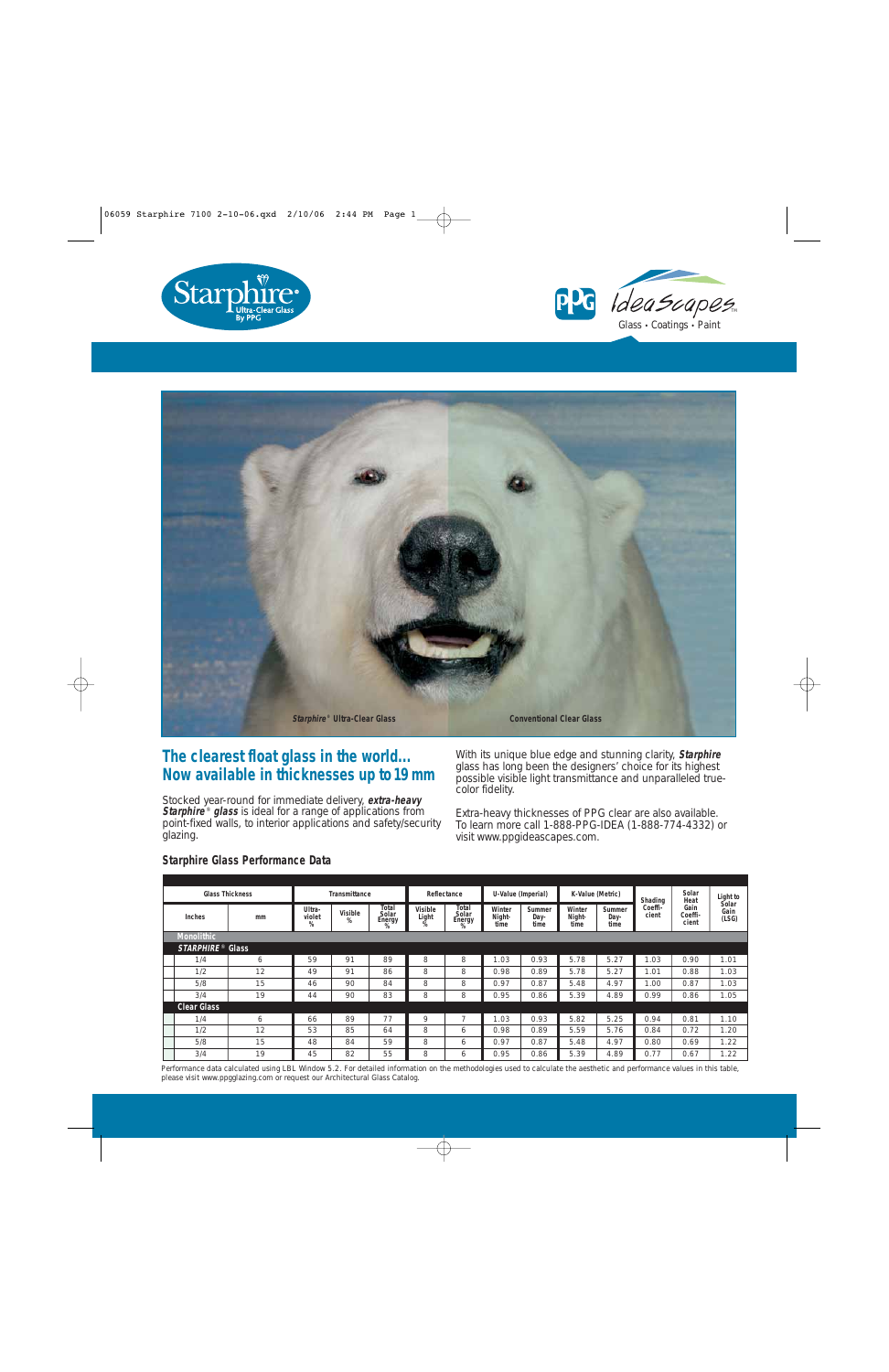





## **The clearest float glass in the world... Now available in thicknesses up to19mm**

Stocked year-round for immediate delivery, **extra-heavy Starphire<sup>®</sup> glass** is ideal for a range of applications from point-fixed walls, to interior applications and safety/security glazing.

With its unique blue edge and stunning clarity, **Starphire** glass has long been the designers' choice for its highest possible visible light transmittance and unparalleled truecolor fidelity.

Extra-heavy thicknesses of PPG clear are also available. To learn more call 1-888-PPG-IDEA (1-888-774-4332) or visit www.ppgideascapes.com.

| <b>Glass Thickness</b> |                              | Transmittance |                       |              | Reflectance                   |                       | U-Value (Imperial)            |                          | K-Value (Metric)       |                          | Shading                | Solar<br>Heat    | Light to                 |                        |  |
|------------------------|------------------------------|---------------|-----------------------|--------------|-------------------------------|-----------------------|-------------------------------|--------------------------|------------------------|--------------------------|------------------------|------------------|--------------------------|------------------------|--|
|                        | Inches                       | mm            | Ultra-<br>violet<br>% | Visible<br>% | Total<br>Solar<br>Energy<br>% | Visible<br>Light<br>% | Total<br>Solar<br>Energy<br>% | Winter<br>Night-<br>time | Summer<br>Day-<br>time | Winter<br>Night-<br>time | Summer<br>Day-<br>time | Coeffi-<br>cient | Gain<br>Coeffi-<br>cient | Solar<br>Gain<br>(LSG) |  |
|                        | <b>Monolithic</b>            |               |                       |              |                               |                       |                               |                          |                        |                          |                        |                  |                          |                        |  |
|                        | STARPHIRE <sup>®</sup> Glass |               |                       |              |                               |                       |                               |                          |                        |                          |                        |                  |                          |                        |  |
|                        | 1/4                          | 6             | 59                    | 91           | 89                            | 8                     | 8                             | 1.03                     | 0.93                   | 5.78                     | 5.27                   | 1.03             | 0.90                     | 1.01                   |  |
|                        | 1/2                          | 12            | 49                    | 91           | 86                            | 8                     | 8                             | 0.98                     | 0.89                   | 5.78                     | 5.27                   | 1.01             | 0.88                     | 1.03                   |  |
|                        | 5/8                          | 15            | 46                    | 90           | 84                            | 8                     | 8                             | 0.97                     | 0.87                   | 5.48                     | 4.97                   | 1.00             | 0.87                     | 1.03                   |  |
|                        | 3/4                          | 19            | 44                    | 90           | 83                            | 8                     | 8                             | 0.95                     | 0.86                   | 5.39                     | 4.89                   | 0.99             | 0.86                     | 1.05                   |  |
| <b>Clear Glass</b>     |                              |               |                       |              |                               |                       |                               |                          |                        |                          |                        |                  |                          |                        |  |
|                        | 1/4                          | 6             | 66                    | 89           | 77                            | 9                     | -                             | 1.03                     | 0.93                   | 5.82                     | 5.25                   | 0.94             | 0.81                     | 1.10                   |  |
|                        | 1/2                          | 12            | 53                    | 85           | 64                            | 8                     | 6                             | 0.98                     | 0.89                   | 5.59                     | 5.76                   | 0.84             | 0.72                     | .20                    |  |
|                        | 5/8                          | 15            | 48                    | 84           | 59                            | 8                     | 6                             | 0.97                     | 0.87                   | 5.48                     | 4.97                   | 0.80             | 0.69                     | 1.22                   |  |
|                        | 3/4                          | 19            | 45                    | 82           | 55                            | 8                     | 6                             | 0.95                     | 0.86                   | 5.39                     | 4.89                   | 0.77             | 0.67                     | .22                    |  |

## **Starphire Glass Performance Data**

Performance data calculated using LBL Window 5.2. For detailed information on the methodologies used to calculate the aesthetic and performance values in this table, please visit www.ppgglazing.com or request our Architectural Glass Catalog.